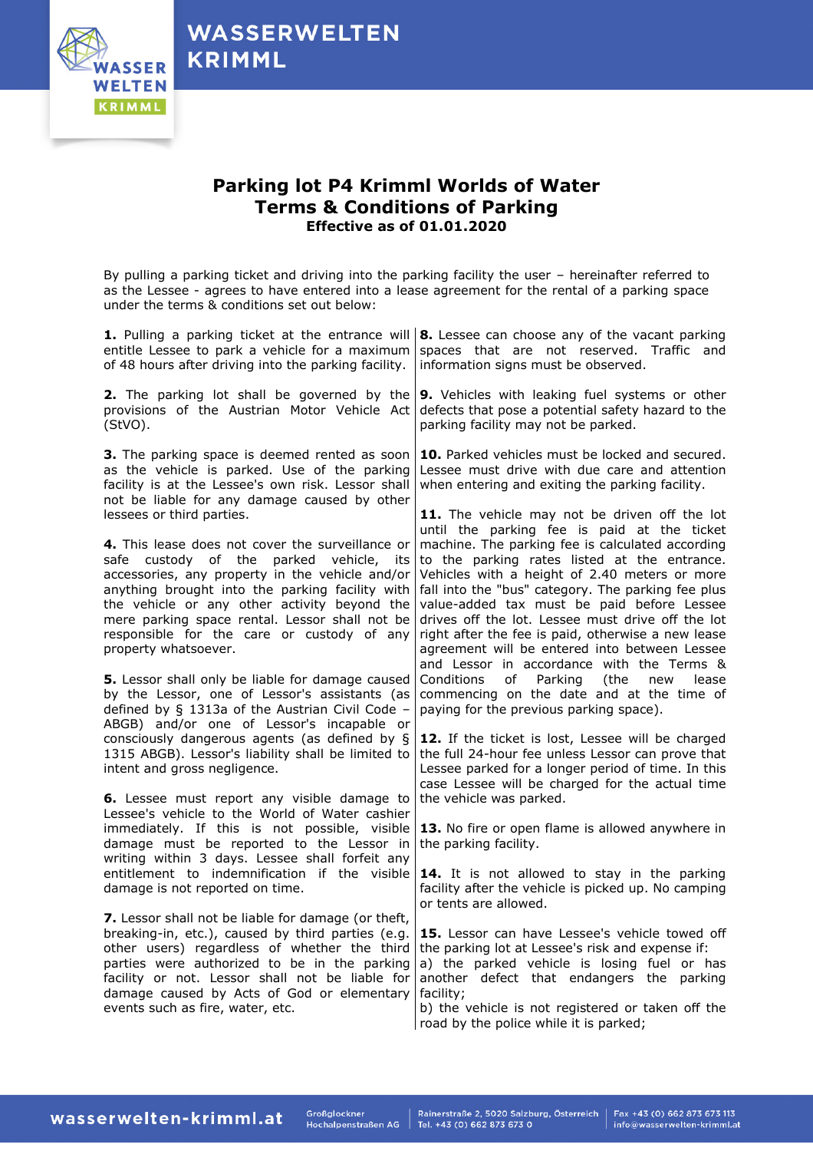

## **Parking lot P4 Krimml Worlds of Water Terms & Conditions of Parking Effective as of 01.01.2020**

By pulling a parking ticket and driving into the parking facility the user – hereinafter referred to as the Lessee - agrees to have entered into a lease agreement for the rental of a parking space under the terms & conditions set out below:

| 1. Pulling a parking ticket at the entrance will<br>entitle Lessee to park a vehicle for a maximum<br>of 48 hours after driving into the parking facility.                                                                                                                                                                                                                | 8. Lessee can choose any of the vacant parking<br>spaces that are not reserved. Traffic and<br>information signs must be observed.                                                                                                                                                                                                                                                                                                                                                                            |
|---------------------------------------------------------------------------------------------------------------------------------------------------------------------------------------------------------------------------------------------------------------------------------------------------------------------------------------------------------------------------|---------------------------------------------------------------------------------------------------------------------------------------------------------------------------------------------------------------------------------------------------------------------------------------------------------------------------------------------------------------------------------------------------------------------------------------------------------------------------------------------------------------|
| 2. The parking lot shall be governed by the<br>provisions of the Austrian Motor Vehicle Act<br>(StVO).                                                                                                                                                                                                                                                                    | 9. Vehicles with leaking fuel systems or other<br>defects that pose a potential safety hazard to the<br>parking facility may not be parked.                                                                                                                                                                                                                                                                                                                                                                   |
| 3. The parking space is deemed rented as soon<br>as the vehicle is parked. Use of the parking<br>facility is at the Lessee's own risk. Lessor shall<br>not be liable for any damage caused by other<br>lessees or third parties.                                                                                                                                          | 10. Parked vehicles must be locked and secured.<br>Lessee must drive with due care and attention<br>when entering and exiting the parking facility.<br>11. The vehicle may not be driven off the lot                                                                                                                                                                                                                                                                                                          |
| 4. This lease does not cover the surveillance or<br>safe custody of the parked vehicle, its<br>accessories, any property in the vehicle and/or<br>anything brought into the parking facility with<br>the vehicle or any other activity beyond the<br>mere parking space rental. Lessor shall not be<br>responsible for the care or custody of any<br>property whatsoever. | until the parking fee is paid at the ticket<br>machine. The parking fee is calculated according<br>to the parking rates listed at the entrance.<br>Vehicles with a height of 2.40 meters or more<br>fall into the "bus" category. The parking fee plus<br>value-added tax must be paid before Lessee<br>drives off the lot. Lessee must drive off the lot<br>right after the fee is paid, otherwise a new lease<br>agreement will be entered into between Lessee<br>and Lessor in accordance with the Terms & |
| 5. Lessor shall only be liable for damage caused<br>by the Lessor, one of Lessor's assistants (as<br>defined by § 1313a of the Austrian Civil Code -<br>ABGB) and/or one of Lessor's incapable or                                                                                                                                                                         | of Parking<br>Conditions<br>(the<br>new<br>lease<br>commencing on the date and at the time of<br>paying for the previous parking space).                                                                                                                                                                                                                                                                                                                                                                      |
| consciously dangerous agents (as defined by §<br>1315 ABGB). Lessor's liability shall be limited to<br>intent and gross negligence.                                                                                                                                                                                                                                       | 12. If the ticket is lost, Lessee will be charged<br>the full 24-hour fee unless Lessor can prove that<br>Lessee parked for a longer period of time. In this<br>case Lessee will be charged for the actual time                                                                                                                                                                                                                                                                                               |
| <b>6.</b> Lessee must report any visible damage to<br>Lessee's vehicle to the World of Water cashier<br>immediately. If this is not possible, visible<br>damage must be reported to the Lessor in<br>writing within 3 days. Lessee shall forfeit any                                                                                                                      | the vehicle was parked.<br>13. No fire or open flame is allowed anywhere in<br>the parking facility.                                                                                                                                                                                                                                                                                                                                                                                                          |
| entitlement to indemnification if the visible<br>damage is not reported on time.                                                                                                                                                                                                                                                                                          | 14. It is not allowed to stay in the parking<br>facility after the vehicle is picked up. No camping<br>or tents are allowed.                                                                                                                                                                                                                                                                                                                                                                                  |
| 7. Lessor shall not be liable for damage (or theft,<br>breaking-in, etc.), caused by third parties (e.g.<br>other users) regardless of whether the third<br>parties were authorized to be in the parking<br>facility or not. Lessor shall not be liable for<br>damage caused by Acts of God or elementary<br>events such as fire, water, etc.                             | 15. Lessor can have Lessee's vehicle towed off<br>the parking lot at Lessee's risk and expense if:<br>a) the parked vehicle is losing fuel or has<br>another defect that endangers the parking<br>facility;<br>b) the vehicle is not registered or taken off the<br>road by the police while it is parked;                                                                                                                                                                                                    |